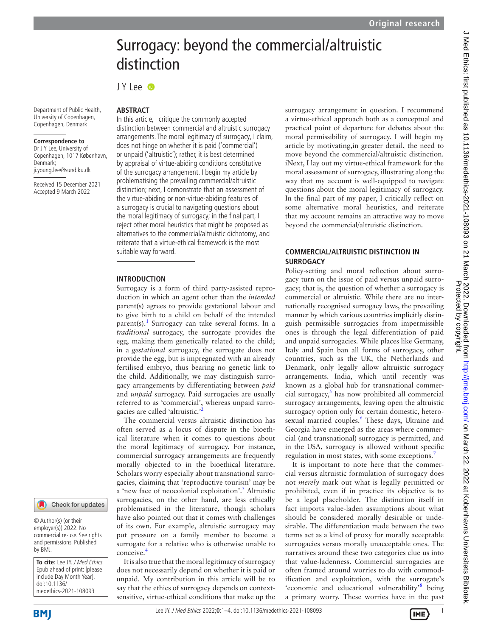# J Med Ethics: first published as 10.1136/medethics-2021-108093 on 21 March 2022. Downloaded from http://jme.bmj.com/ on March 22, 2022 at Kobenhavns Universitets Bibliotek<br>Protected by copyright, J Med Ethics: first published as 10.1136/medethics-2021-108093 on 21 March 2022. Downloaded from http://jme.bm/ J March 22, 2022 at Kobenhavns Universitets Bibliotek. Protected by copyright.

# Surrogacy: beyond the commercial/altruistic distinction

JY Lee **iD** 

Department of Public Health, University of Copenhagen, Copenhagen, Denmark

### **Correspondence to**

Dr J Y Lee, University of Copenhagen, 1017 København, Denmark; ji.young.lee@sund.ku.dk

Received 15 December 2021 Accepted 9 March 2022

# **ABSTRACT**

In this article, I critique the commonly accepted distinction between commercial and altruistic surrogacy arrangements. The moral legitimacy of surrogacy, I claim, does not hinge on whether it is paid ('commercial') or unpaid ('altruistic'); rather, it is best determined by appraisal of virtue-abiding conditions constitutive of the surrogacy arrangement. I begin my article by problematising the prevailing commercial/altruistic distinction; next, I demonstrate that an assessment of the virtue-abiding or non-virtue-abiding features of a surrogacy is crucial to navigating questions about the moral legitimacy of surrogacy; in the final part, I reject other moral heuristics that might be proposed as alternatives to the commercial/altruistic dichotomy, and reiterate that a virtue-ethical framework is the most suitable way forward.

### **INTRODUCTION**

Surrogacy is a form of third party-assisted reproduction in which an agent other than the *intended* parent(s) agrees to provide gestational labour and to give birth to a child on behalf of the intended parent(s).<sup>[1](#page-3-0)</sup> Surrogacy can take several forms. In a *traditional* surrogacy, the surrogate provides the egg, making them genetically related to the child; in a *gestational* surrogacy, the surrogate does not provide the egg, but is impregnated with an already fertilised embryo, thus bearing no genetic link to the child. Additionally, we may distinguish surrogacy arrangements by differentiating between *paid* and *unpaid* surrogacy. Paid surrogacies are usually referred to as 'commercial', whereas unpaid surrogacies are called 'altruistic.'

The commercial versus altruistic distinction has often served as a locus of dispute in the bioethical literature when it comes to questions about the moral legitimacy of surrogacy. For instance, commercial surrogacy arrangements are frequently morally objected to in the bioethical literature. Scholars worry especially about transnational surrogacies, claiming that 'reproductive tourism' may be a 'new face of neocolonial exploitation'.<sup>[3](#page-3-2)</sup> Altruistic surrogacies, on the other hand, are less ethically problematised in the literature, though scholars have also pointed out that it comes with challenges of its own. For example, altruistic surrogacy may put pressure on a family member to become a surrogate for a relative who is otherwise unable to conceive[.4](#page-3-3)

It is also true that the moral legitimacy of surrogacy does not necessarily depend on whether it is paid or unpaid. My contribution in this article will be to say that the ethics of surrogacy depends on contextsensitive, virtue-ethical conditions that make up the

surrogacy arrangement in question. I recommend a virtue-ethical approach both as a conceptual and practical point of departure for debates about the moral permissibility of surrogacy. I will begin my article by motivating,in greater detail, the need to move beyond the commercial/altruistic distinction. iNext, I lay out my virtue-ethical framework for the moral assessment of surrogacy, illustrating along the way that my account is well-equipped to navigate questions about the moral legitimacy of surrogacy. In the final part of my paper, I critically reflect on some alternative moral heuristics, and reiterate that my account remains an attractive way to move beyond the commercial/altruistic distinction.

## **COMMERCIAL/ALTRUISTIC DISTINCTION IN SURROGACY**

Policy-setting and moral reflection about surrogacy turn on the issue of paid versus unpaid surrogacy; that is, the question of whether a surrogacy is commercial or altruistic. While there are no internationally recognised surrogacy laws, the prevailing manner by which various countries implicitly distinguish permissible surrogacies from impermissible ones is through the legal differentiation of paid and unpaid surrogacies. While places like Germany, Italy and Spain ban all forms of surrogacy, other countries, such as the UK, the Netherlands and Denmark, only legally allow altruistic surrogacy arrangements. India, which until recently was known as a global hub for transnational commer-cial surrogacy,<sup>[5](#page-3-4)</sup> has now prohibited all commercial surrogacy arrangements, leaving open the altruistic surrogacy option only for certain domestic, hetero-sexual married couples.<sup>[6](#page-3-5)</sup> These days, Ukraine and Georgia have emerged as the areas where commercial (and transnational) surrogacy is permitted, and in the USA, surrogacy is allowed without specific regulation in most states, with some exceptions.<sup>[7](#page-3-6)</sup>

It is important to note here that the commercial versus altruistic formulation of surrogacy does not *merely* mark out what is legally permitted or prohibited, even if in practice its objective is to be a legal placeholder. The distinction itself in fact imports value-laden assumptions about what should be considered morally desirable or undesirable. The differentiation made between the two terms act as a kind of proxy for morally acceptable surrogacies versus morally unacceptable ones. The narratives around these two categories clue us into that value-ladenness. Commercial surrogacies are often framed around worries to do with commodification and exploitation, with the surrogate's 'economic and educational vulnerability'<sup>[8](#page-3-7)</sup> being a primary worry. These worries have in the past

by BMJ.

**To cite:** Lee JY. J Med Ethics Epub ahead of print: [please include Day Month Year]. doi:10.1136/ medethics-2021-108093

Check for updates

© Author(s) (or their employer(s)) 2022. No commercial re-use. See rights and permissions. Published

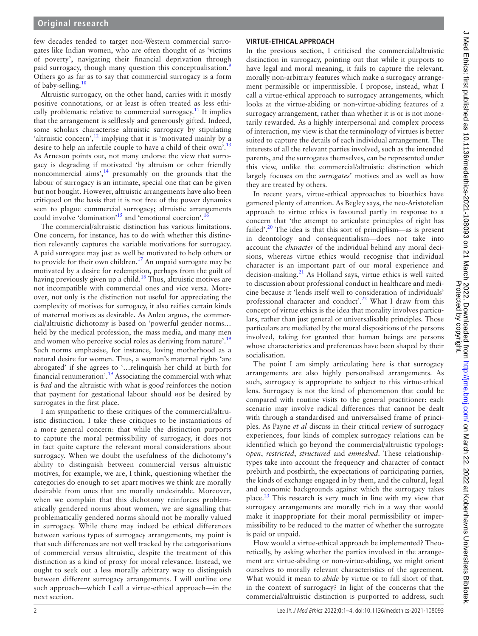few decades tended to target non-Western commercial surrogates like Indian women, who are often thought of as 'victims of poverty', navigating their financial deprivation through paid surrogacy, though many question this conceptualisation.<sup>[9](#page-3-8)</sup> Others go as far as to say that commercial surrogacy is a form of baby-selling.<sup>[10](#page-3-9)</sup>

Altruistic surrogacy, on the other hand, carries with it mostly positive connotations, or at least is often treated as less ethi-cally problematic relative to commercial surrogacy.<sup>[11](#page-3-10)</sup> It implies that the arrangement is selflessly and generously gifted. Indeed, some scholars characterise altruistic surrogacy by stipulating 'altruistic concern', $^{12}$  $^{12}$  $^{12}$  implying that it is 'motivated mainly by a desire to help an infertile couple to have a child of their own'.<sup>[13](#page-3-12)</sup> As Arneson points out, not many endorse the view that surrogacy is degrading if motivated 'by altruism or other friendly noncommercial aims',<sup>14</sup> presumably on the grounds that the labour of surrogacy is an intimate, special one that can be given but not bought. However, altruistic arrangements have also been critiqued on the basis that it is not free of the power dynamics seen to plague commercial surrogacy; altruistic arrangements could involve 'domination'<sup>15</sup> and 'emotional coercion'.<sup>1</sup>

The commercial/altruistic distinction has various limitations. One concern, for instance, has to do with whether this distinction relevantly captures the variable motivations for surrogacy. A paid surrogate may just as well be motivated to help others or to provide for their own children.<sup>[17](#page-3-16)</sup> An unpaid surrogate may be motivated by a desire for redemption, perhaps from the guilt of having previously given up a child.<sup>[18](#page-3-17)</sup> Thus, altruistic motives are not incompatible with commercial ones and vice versa. Moreover, not only is the distinction not useful for appreciating the complexity of motives for surrogacy, it also reifies certain kinds of maternal motives as desirable. As Anleu argues, the commercial/altruistic dichotomy is based on 'powerful gender norms… held by the medical profession, the mass media, and many men and women who perceive social roles as deriving from nature'.<sup>[19](#page-3-18)</sup> Such norms emphasise, for instance, loving motherhood as a natural desire for women. Thus, a woman's maternal rights 'are abrogated' if she agrees to '…relinquish her child at birth for financial renumeration'[.19](#page-3-18) Associating the commercial with what is *bad* and the altruistic with what is *good* reinforces the notion that payment for gestational labour should *not* be desired by surrogates in the first place.

I am sympathetic to these critiques of the commercial/altruistic distinction. I take these critiques to be instantiations of a more general concern: that while the distinction purports to capture the moral permissibility of surrogacy, it does not in fact quite capture the relevant moral considerations about surrogacy. When we doubt the usefulness of the dichotomy's ability to distinguish between commercial versus altruistic motives, for example, we are, I think, questioning whether the categories do enough to set apart motives we think are morally desirable from ones that are morally undesirable. Moreover, when we complain that this dichotomy reinforces problematically gendered norms about women, we are signalling that problematically gendered norms should not be morally valued in surrogacy. While there may indeed be ethical differences between various types of surrogacy arrangements, my point is that such differences are not well tracked by the categorisations of commercial versus altruistic, despite the treatment of this distinction as a kind of proxy for moral relevance. Instead, we ought to seek out a less morally arbitrary way to distinguish between different surrogacy arrangements. I will outline one such approach—which I call a virtue-ethical approach—in the next section.

# **VIRTUE-ETHICAL APPROACH**

In the previous section, I criticised the commercial/altruistic distinction in surrogacy, pointing out that while it purports to have legal and moral meaning, it fails to capture the relevant, morally non-arbitrary features which make a surrogacy arrangement permissible or impermissible. I propose, instead, what I call a virtue-ethical approach to surrogacy arrangements, which looks at the virtue-abiding or non-virtue-abiding features of a surrogacy arrangement, rather than whether it is or is not monetarily rewarded. As a highly interpersonal and complex process of interaction, my view is that the terminology of virtues is better suited to capture the details of each individual arrangement. The interests of all the relevant parties involved, such as the intended parents, and the surrogates themselves, can be represented under this view, unlike the commercial/altruistic distinction which largely focuses on the *surrogates*' motives and as well as how they are treated by others.

In recent years, virtue-ethical approaches to bioethics have garnered plenty of attention. As Begley says, the neo-Aristotelian approach to virtue ethics is favoured partly in response to a concern that 'the attempt to articulate principles of right has failed'.<sup>20</sup> The idea is that this sort of principlism—as is present in deontology and consequentialism—does not take into account the *character* of the individual behind any moral decisions, whereas virtue ethics would recognise that individual character is an important part of our moral experience and decision-making.[21](#page-3-20) As Holland says, virtue ethics is well suited to discussion about professional conduct in healthcare and medicine because it 'lends itself well to consideration of individuals' professional character and conduct'.<sup>[22](#page-3-21)</sup> What I draw from this concept of virtue ethics is the idea that morality involves particulars, rather than just general or universalisable principles. Those particulars are mediated by the moral dispositions of the persons involved, taking for granted that human beings are persons whose characteristics and preferences have been shaped by their socialisation.

The point I am simply articulating here is that surrogacy arrangements are also highly personalised arrangements. As such, surrogacy is appropriate to subject to this virtue-ethical lens. Surrogacy is not the kind of phenomenon that could be compared with routine visits to the general practitioner; each scenario may involve radical differences that cannot be dealt with through a standardised and universalised frame of principles. As Payne *et al* discuss in their critical review of surrogacy experiences, four kinds of complex surrogacy relations can be identified which go beyond the commercial/altruistic typology: *open*, *restricted*, *structured* and *enmeshed*. These relationshiptypes take into account the frequency and character of contact prebirth and postbirth, the expectations of participating parties, the kinds of exchange engaged in by them, and the cultural, legal and economic backgrounds against which the surrogacy takes place. $^{23}$  This research is very much in line with my view that surrogacy arrangements are morally rich in a way that would make it inappropriate for their moral permissibility or impermissibility to be reduced to the matter of whether the surrogate is paid or unpaid.

How would a virtue-ethical approach be implemented? Theoretically, by asking whether the parties involved in the arrangement are virtue-abiding or non-virtue-abiding, we might orient ourselves to morally relevant characteristics of the agreement. What would it mean to *abide* by virtue or to fall short of that, in the context of surrogacy? In light of the concerns that the commercial/altruistic distinction is purported to address, such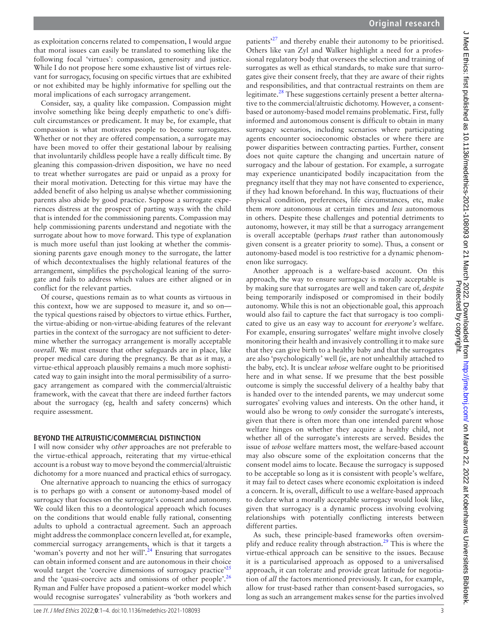as exploitation concerns related to compensation, I would argue that moral issues can easily be translated to something like the following focal 'virtues': compassion, generosity and justice. While I do not propose here some exhaustive list of virtues relevant for surrogacy, focusing on specific virtues that are exhibited or not exhibited may be highly informative for spelling out the moral implications of each surrogacy arrangement.

Consider, say, a quality like compassion. Compassion might involve something like being deeply empathetic to one's difficult circumstances or predicament. It may be, for example, that compassion is what motivates people to become surrogates. Whether or not they are offered compensation, a surrogate may have been moved to offer their gestational labour by realising that involuntarily childless people have a really difficult time. By gleaning this compassion-driven disposition, we have no need to treat whether surrogates are paid or unpaid as a proxy for their moral motivation. Detecting for this virtue may have the added benefit of also helping us analyse whether commissioning parents also abide by good practice. Suppose a surrogate experiences distress at the prospect of parting ways with the child that is intended for the commissioning parents. Compassion may help commissioning parents understand and negotiate with the surrogate about how to move forward. This type of explanation is much more useful than just looking at whether the commissioning parents gave enough money to the surrogate, the latter of which decontextualises the highly relational features of the arrangement, simplifies the psychological leaning of the surrogate and fails to address which values are either aligned or in conflict for the relevant parties.

Of course, questions remain as to what counts as virtuous in this context, how we are supposed to measure it, and so on the typical questions raised by objectors to virtue ethics. Further, the virtue-abiding or non-virtue-abiding features of the relevant parties in the context of the surrogacy are not sufficient to determine whether the surrogacy arrangement is morally acceptable *overall*. We must ensure that other safeguards are in place, like proper medical care during the pregnancy. Be that as it may, a virtue-ethical approach plausibly remains a much more sophisticated way to gain insight into the moral permissibility of a surrogacy arrangement as compared with the commercial/altruistic framework, with the caveat that there are indeed further factors about the surrogacy (eg, health and safety concerns) which require assessment.

# **BEYOND THE ALTRUISTIC/COMMERCIAL DISTINCTION**

I will now consider why *other* approaches are not preferable to the virtue-ethical approach, reiterating that my virtue-ethical account is a robust way to move beyond the commercial/altruistic dichotomy for a more nuanced and practical ethics of surrogacy.

One alternative approach to nuancing the ethics of surrogacy is to perhaps go with a consent or autonomy-based model of surrogacy that focuses on the surrogate's consent and autonomy. We could liken this to a deontological approach which focuses on the conditions that would enable fully rational, consenting adults to uphold a contractual agreement. Such an approach might address the commonplace concern levelled at, for example, commercial surrogacy arrangements, which is that it targets a 'woman's poverty and not her will'. $^{24}$  Ensuring that surrogates can obtain informed consent and are autonomous in their choice would target the 'coercive dimensions of surrogacy practice'<sup>[25](#page-3-24)</sup> and the 'quasi-coercive acts and omissions of other people'.<sup>[26](#page-3-25)</sup> Ryman and Fulfer have proposed a patient–worker model which would recognise surrogates' vulnerability as 'both workers and

patients<sup>[27](#page-3-26)</sup> and thereby enable their autonomy to be prioritised. Others like van Zyl and Walker highlight a need for a professional regulatory body that oversees the selection and training of surrogates as well as ethical standards, to make sure that surrogates give their consent freely, that they are aware of their rights and responsibilities, and that contractual restraints on them are legitimate[.28](#page-3-27) These suggestions certainly present a better alternative to the commercial/altruistic dichotomy. However, a consentbased or autonomy-based model remains problematic. First, fully informed and autonomous consent is difficult to obtain in many surrogacy scenarios, including scenarios where participating agents encounter socioeconomic obstacles or where there are power disparities between contracting parties. Further, consent does not quite capture the changing and uncertain nature of surrogacy and the labour of gestation. For example, a surrogate may experience unanticipated bodily incapacitation from the pregnancy itself that they may not have consented to experience, if they had known beforehand. In this way, fluctuations of their physical condition, preferences, life circumstances, etc, make them *more* autonomous at certain times and *less* autonomous in others. Despite these challenges and potential detriments to autonomy, however, it may still be that a surrogacy arrangement is overall acceptable (perhaps *trust* rather than autonomously given consent is a greater priority to some). Thus, a consent or autonomy-based model is too restrictive for a dynamic phenomenon like surrogacy.

Another approach is a welfare-based account. On this approach, the way to ensure surrogacy is morally acceptable is by making sure that surrogates are well and taken care of, *despite* being temporarily indisposed or compromised in their bodily autonomy. While this is not an objectionable goal, this approach would also fail to capture the fact that surrogacy is too complicated to give us an easy way to account for *everyone's* welfare. For example, ensuring surrogates' welfare might involve closely monitoring their health and invasively controlling it to make sure that they can give birth to a healthy baby and that the surrogates are also 'psychologically' well (ie, are not unhealthily attached to the baby, etc). It is unclear *whose* welfare ought to be prioritised here and in what sense. If we presume that the best possible outcome is simply the successful delivery of a healthy baby that is handed over to the intended parents, we may undercut some surrogates' evolving values and interests. On the other hand, it would also be wrong to *only* consider the surrogate's interests, given that there is often more than one intended parent whose welfare hinges on whether they acquire a healthy child, not whether all of the surrogate's interests are served. Besides the issue of *whose* welfare matters most, the welfare-based account may also obscure some of the exploitation concerns that the consent model aims to locate. Because the surrogacy is supposed to be acceptable so long as it is consistent with people's welfare, it may fail to detect cases where economic exploitation is indeed a concern. It is, overall, difficult to use a welfare-based approach to declare what a morally acceptable surrogacy would look like, given that surrogacy is a dynamic process involving evolving relationships with potentially conflicting interests between different parties.

As such, these principle-based frameworks often oversim-plify and reduce reality through abstraction.<sup>[29](#page-3-28)</sup> This is where the virtue-ethical approach can be sensitive to the issues. Because it is a particularised approach as opposed to a universalised approach, it can tolerate and provide great latitude for negotiation of *all* the factors mentioned previously. It can, for example, allow for trust-based rather than consent-based surrogacies, so long as such an arrangement makes sense for the parties involved

J Med Ethics: first published as 10.1136/medethics-2021-108093 on 21 March 2022. Downloaded from http://jme.bmj.com/ on March 22, 2022 at Kobenhavns Universitets Bibliotek<br>Protected by copyright. J Med Ethics: first published as 10.1136/medethics-2021-108093 on 21 March 2022. Downloaded from http://jme.bm/ J March 22, 2022 at Kobenhavns Universitets Bibliotek. Protected by copyright.